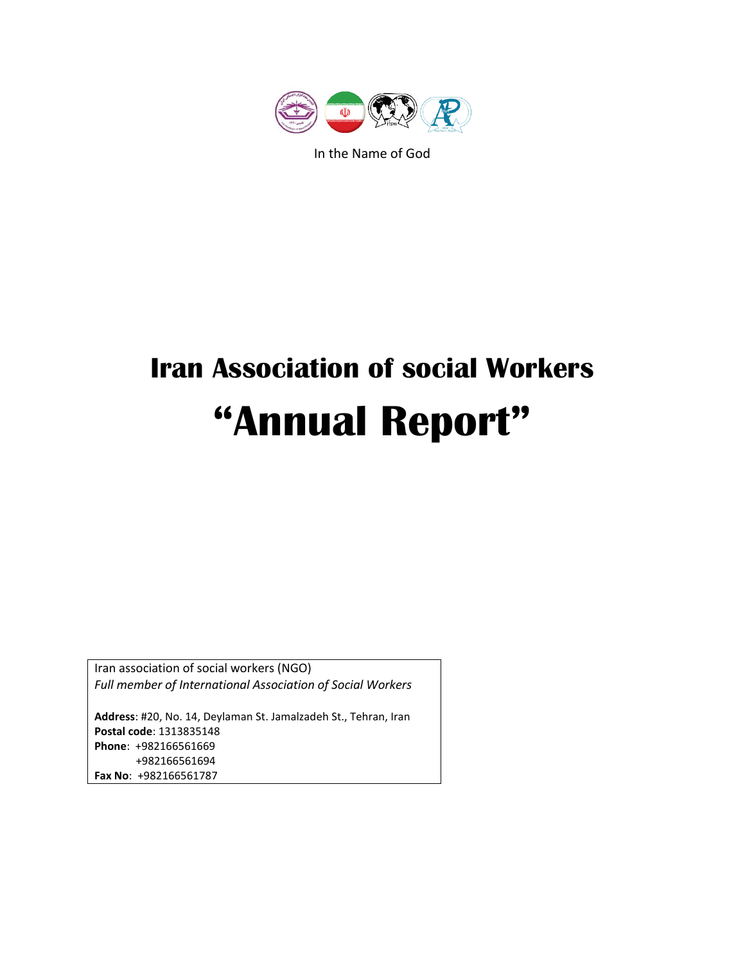

In the Name of God

# **Iran Association of social Workers "Annual Report"**

Iran association of social workers (NGO) *Full member of International Association of Social Workers*

**Address**: #20, No. 14, Deylaman St. Jamalzadeh St., Tehran, Iran **Postal code**: 1313835148 **Phone**: +982166561669 +982166561694 **Fax No**: +982166561787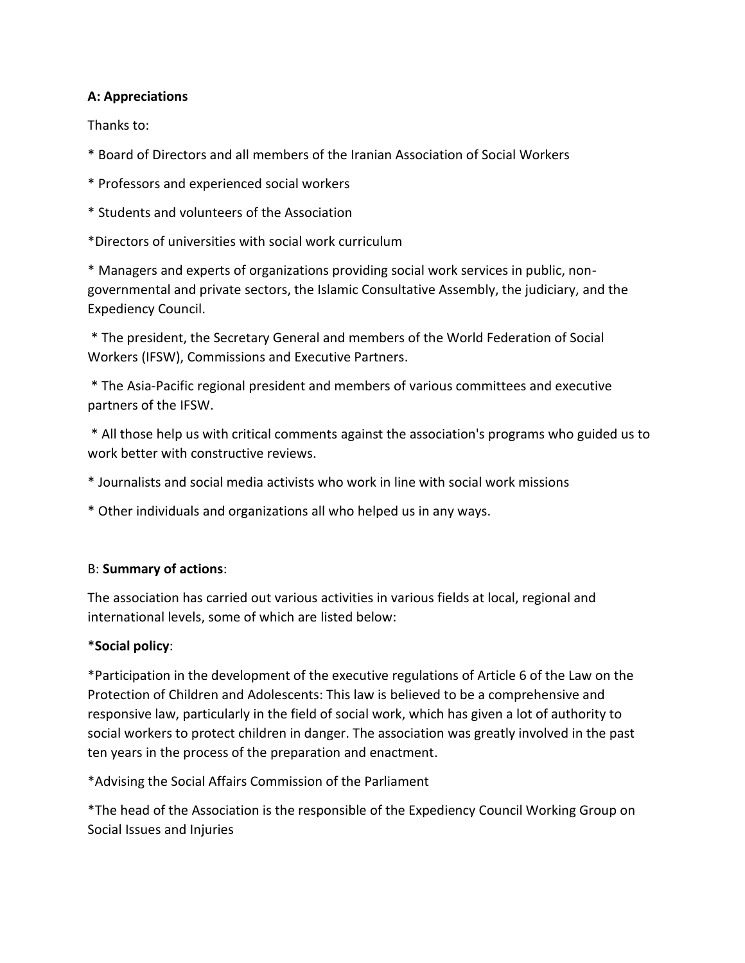## **A: Appreciations**

Thanks to:

\* Board of Directors and all members of the Iranian Association of Social Workers

\* Professors and experienced social workers

\* Students and volunteers of the Association

\*Directors of universities with social work curriculum

\* Managers and experts of organizations providing social work services in public, nongovernmental and private sectors, the Islamic Consultative Assembly, the judiciary, and the Expediency Council.

\* The president, the Secretary General and members of the World Federation of Social Workers (IFSW), Commissions and Executive Partners.

\* The Asia-Pacific regional president and members of various committees and executive partners of the IFSW.

\* All those help us with critical comments against the association's programs who guided us to work better with constructive reviews.

- \* Journalists and social media activists who work in line with social work missions
- \* Other individuals and organizations all who helped us in any ways.

# B: **Summary of actions**:

The association has carried out various activities in various fields at local, regional and international levels, some of which are listed below:

# \***Social policy**:

\*Participation in the development of the executive regulations of Article 6 of the Law on the Protection of Children and Adolescents: This law is believed to be a comprehensive and responsive law, particularly in the field of social work, which has given a lot of authority to social workers to protect children in danger. The association was greatly involved in the past ten years in the process of the preparation and enactment.

\*Advising the Social Affairs Commission of the Parliament

\*The head of the Association is the responsible of the Expediency Council Working Group on Social Issues and Injuries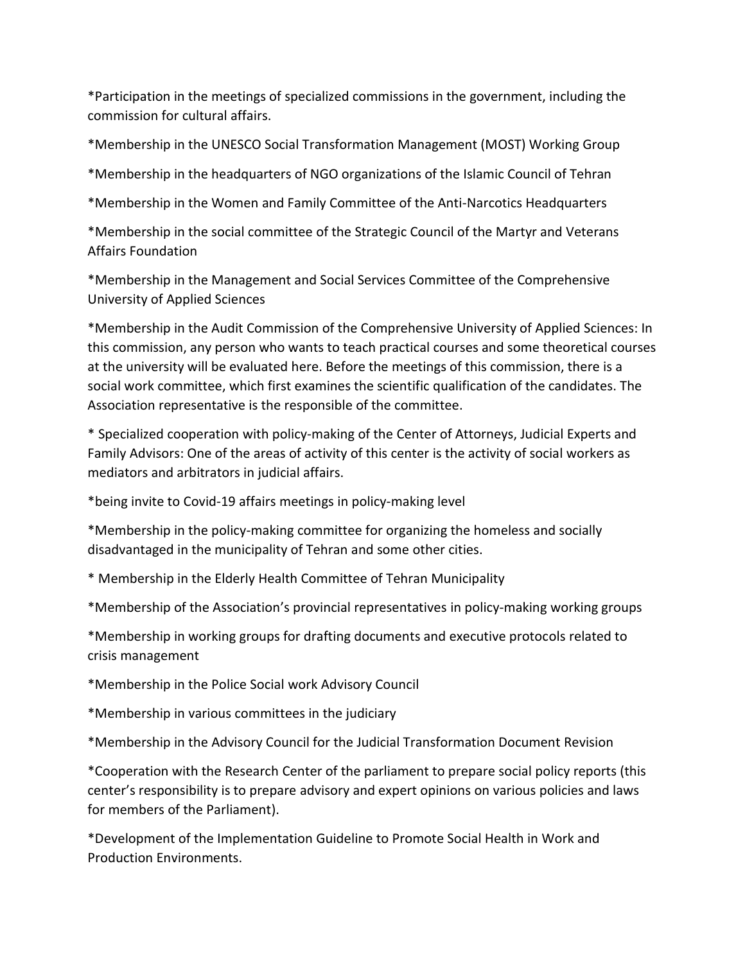\*Participation in the meetings of specialized commissions in the government, including the commission for cultural affairs.

\*Membership in the UNESCO Social Transformation Management (MOST) Working Group

\*Membership in the headquarters of NGO organizations of the Islamic Council of Tehran

\*Membership in the Women and Family Committee of the Anti-Narcotics Headquarters

\*Membership in the social committee of the Strategic Council of the Martyr and Veterans Affairs Foundation

\*Membership in the Management and Social Services Committee of the Comprehensive University of Applied Sciences

\*Membership in the Audit Commission of the Comprehensive University of Applied Sciences: In this commission, any person who wants to teach practical courses and some theoretical courses at the university will be evaluated here. Before the meetings of this commission, there is a social work committee, which first examines the scientific qualification of the candidates. The Association representative is the responsible of the committee.

\* Specialized cooperation with policy-making of the Center of Attorneys, Judicial Experts and Family Advisors: One of the areas of activity of this center is the activity of social workers as mediators and arbitrators in judicial affairs.

\*being invite to Covid-19 affairs meetings in policy-making level

\*Membership in the policy-making committee for organizing the homeless and socially disadvantaged in the municipality of Tehran and some other cities.

\* Membership in the Elderly Health Committee of Tehran Municipality

\*Membership of the Association's provincial representatives in policy-making working groups

\*Membership in working groups for drafting documents and executive protocols related to crisis management

\*Membership in the Police Social work Advisory Council

\*Membership in various committees in the judiciary

\*Membership in the Advisory Council for the Judicial Transformation Document Revision

\*Cooperation with the Research Center of the parliament to prepare social policy reports (this center's responsibility is to prepare advisory and expert opinions on various policies and laws for members of the Parliament).

\*Development of the Implementation Guideline to Promote Social Health in Work and Production Environments.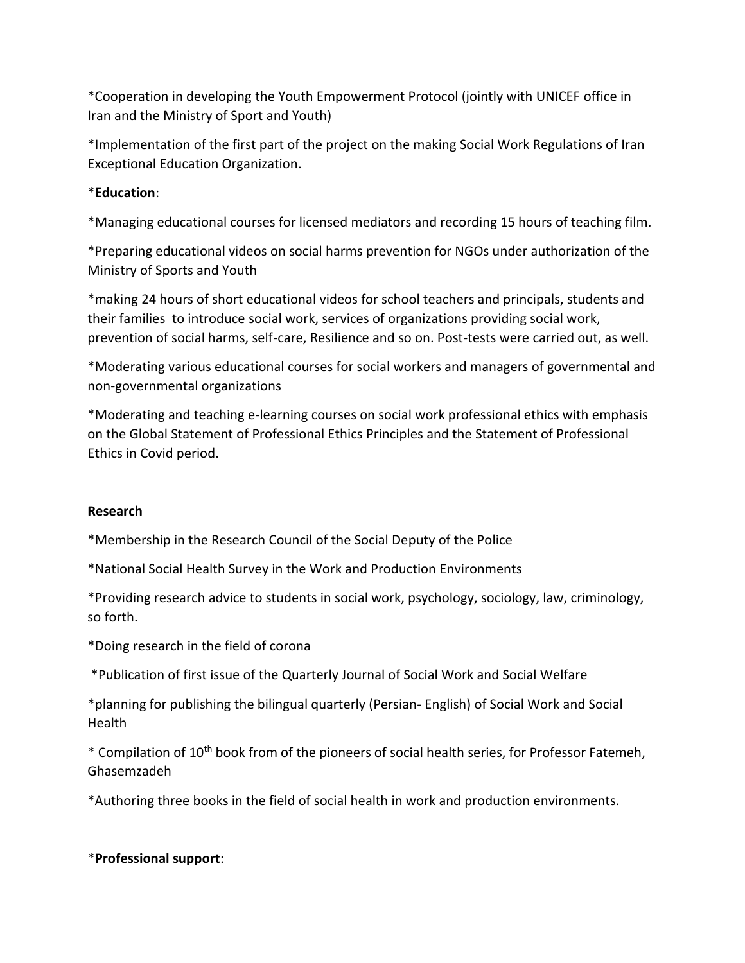\*Cooperation in developing the Youth Empowerment Protocol (jointly with UNICEF office in Iran and the Ministry of Sport and Youth)

\*Implementation of the first part of the project on the making Social Work Regulations of Iran Exceptional Education Organization.

# \***Education**:

\*Managing educational courses for licensed mediators and recording 15 hours of teaching film.

\*Preparing educational videos on social harms prevention for NGOs under authorization of the Ministry of Sports and Youth

\*making 24 hours of short educational videos for school teachers and principals, students and their families to introduce social work, services of organizations providing social work, prevention of social harms, self-care, Resilience and so on. Post-tests were carried out, as well.

\*Moderating various educational courses for social workers and managers of governmental and non-governmental organizations

\*Moderating and teaching e-learning courses on social work professional ethics with emphasis on the Global Statement of Professional Ethics Principles and the Statement of Professional Ethics in Covid period.

# **Research**

\*Membership in the Research Council of the Social Deputy of the Police

\*National Social Health Survey in the Work and Production Environments

\*Providing research advice to students in social work, psychology, sociology, law, criminology, so forth.

\*Doing research in the field of corona

\*Publication of first issue of the Quarterly Journal of Social Work and Social Welfare

\*planning for publishing the bilingual quarterly (Persian- English) of Social Work and Social Health

\* Compilation of 10th book from of the pioneers of social health series, for Professor Fatemeh, Ghasemzadeh

\*Authoring three books in the field of social health in work and production environments.

# \***Professional support**: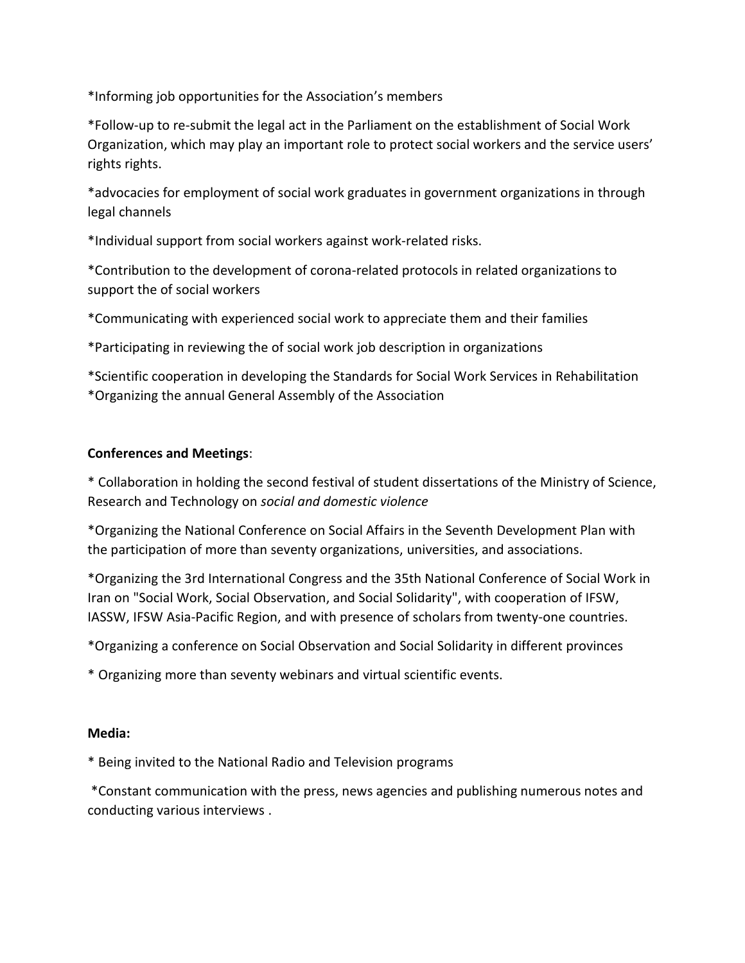\*Informing job opportunities for the Association's members

\*Follow-up to re-submit the legal act in the Parliament on the establishment of Social Work Organization, which may play an important role to protect social workers and the service users' rights rights.

\*advocacies for employment of social work graduates in government organizations in through legal channels

\*Individual support from social workers against work-related risks.

\*Contribution to the development of corona-related protocols in related organizations to support the of social workers

\*Communicating with experienced social work to appreciate them and their families

\*Participating in reviewing the of social work job description in organizations

\*Scientific cooperation in developing the Standards for Social Work Services in Rehabilitation \*Organizing the annual General Assembly of the Association

#### **Conferences and Meetings**:

\* Collaboration in holding the second festival of student dissertations of the Ministry of Science, Research and Technology on *social and domestic violence*

\*Organizing the National Conference on Social Affairs in the Seventh Development Plan with the participation of more than seventy organizations, universities, and associations.

\*Organizing the 3rd International Congress and the 35th National Conference of Social Work in Iran on "Social Work, Social Observation, and Social Solidarity", with cooperation of IFSW, IASSW, IFSW Asia-Pacific Region, and with presence of scholars from twenty-one countries.

\*Organizing a conference on Social Observation and Social Solidarity in different provinces

\* Organizing more than seventy webinars and virtual scientific events.

#### **Media:**

\* Being invited to the National Radio and Television programs

\*Constant communication with the press, news agencies and publishing numerous notes and conducting various interviews .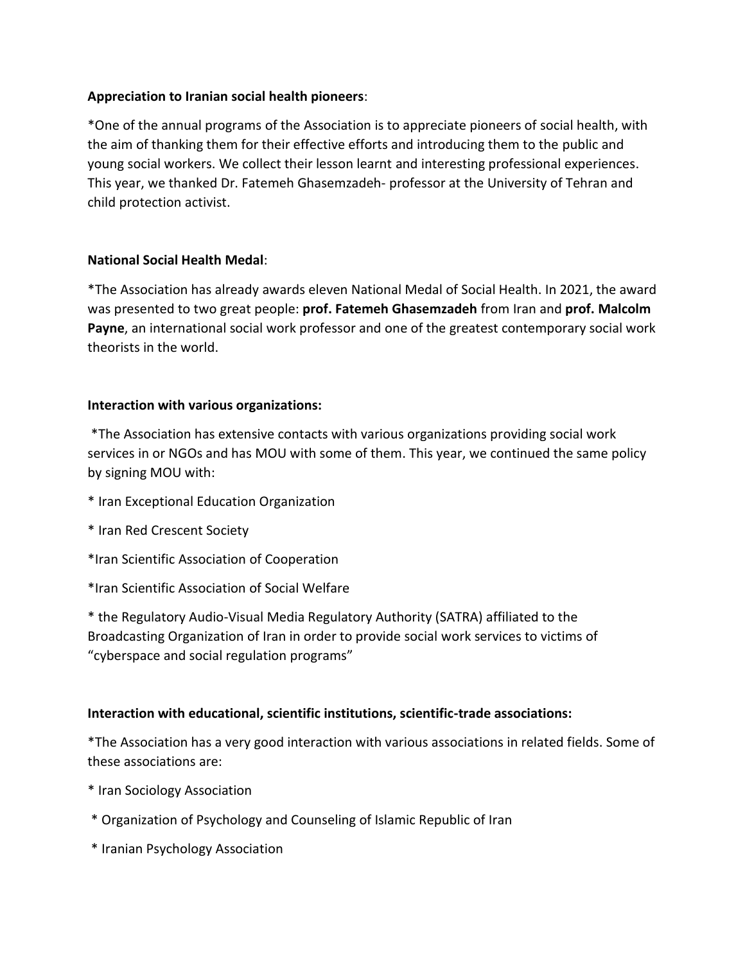## **Appreciation to Iranian social health pioneers**:

\*One of the annual programs of the Association is to appreciate pioneers of social health, with the aim of thanking them for their effective efforts and introducing them to the public and young social workers. We collect their lesson learnt and interesting professional experiences. This year, we thanked Dr. Fatemeh Ghasemzadeh- professor at the University of Tehran and child protection activist.

## **National Social Health Medal**:

\*The Association has already awards eleven National Medal of Social Health. In 2021, the award was presented to two great people: **prof. Fatemeh Ghasemzadeh** from Iran and **prof. Malcolm Payne**, an international social work professor and one of the greatest contemporary social work theorists in the world.

## **Interaction with various organizations:**

\*The Association has extensive contacts with various organizations providing social work services in or NGOs and has MOU with some of them. This year, we continued the same policy by signing MOU with:

- \* Iran Exceptional Education Organization
- \* Iran Red Crescent Society
- \*Iran Scientific Association of Cooperation

\*Iran Scientific Association of Social Welfare

\* the Regulatory Audio-Visual Media Regulatory Authority (SATRA) affiliated to the Broadcasting Organization of Iran in order to provide social work services to victims of "cyberspace and social regulation programs"

# **Interaction with educational, scientific institutions, scientific-trade associations:**

\*The Association has a very good interaction with various associations in related fields. Some of these associations are:

- \* Iran Sociology Association
- \* Organization of Psychology and Counseling of Islamic Republic of Iran
- \* Iranian Psychology Association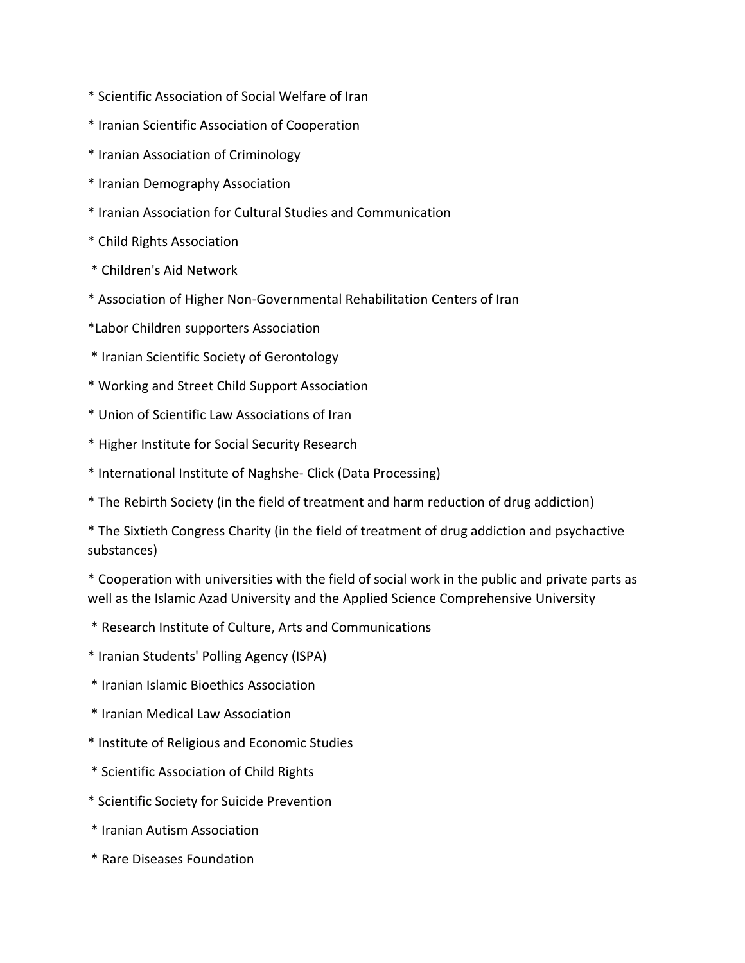- \* Scientific Association of Social Welfare of Iran
- \* Iranian Scientific Association of Cooperation
- \* Iranian Association of Criminology
- \* Iranian Demography Association
- \* Iranian Association for Cultural Studies and Communication
- \* Child Rights Association
- \* Children's Aid Network
- \* Association of Higher Non-Governmental Rehabilitation Centers of Iran
- \*Labor Children supporters Association
- \* Iranian Scientific Society of Gerontology
- \* Working and Street Child Support Association
- \* Union of Scientific Law Associations of Iran
- \* Higher Institute for Social Security Research
- \* International Institute of Naghshe- Click (Data Processing)
- \* The Rebirth Society (in the field of treatment and harm reduction of drug addiction)
- \* The Sixtieth Congress Charity (in the field of treatment of drug addiction and psychactive substances)
- \* Cooperation with universities with the field of social work in the public and private parts as well as the Islamic Azad University and the Applied Science Comprehensive University
- \* Research Institute of Culture, Arts and Communications
- \* Iranian Students' Polling Agency (ISPA)
- \* Iranian Islamic Bioethics Association
- \* Iranian Medical Law Association
- \* Institute of Religious and Economic Studies
- \* Scientific Association of Child Rights
- \* Scientific Society for Suicide Prevention
- \* Iranian Autism Association
- \* Rare Diseases Foundation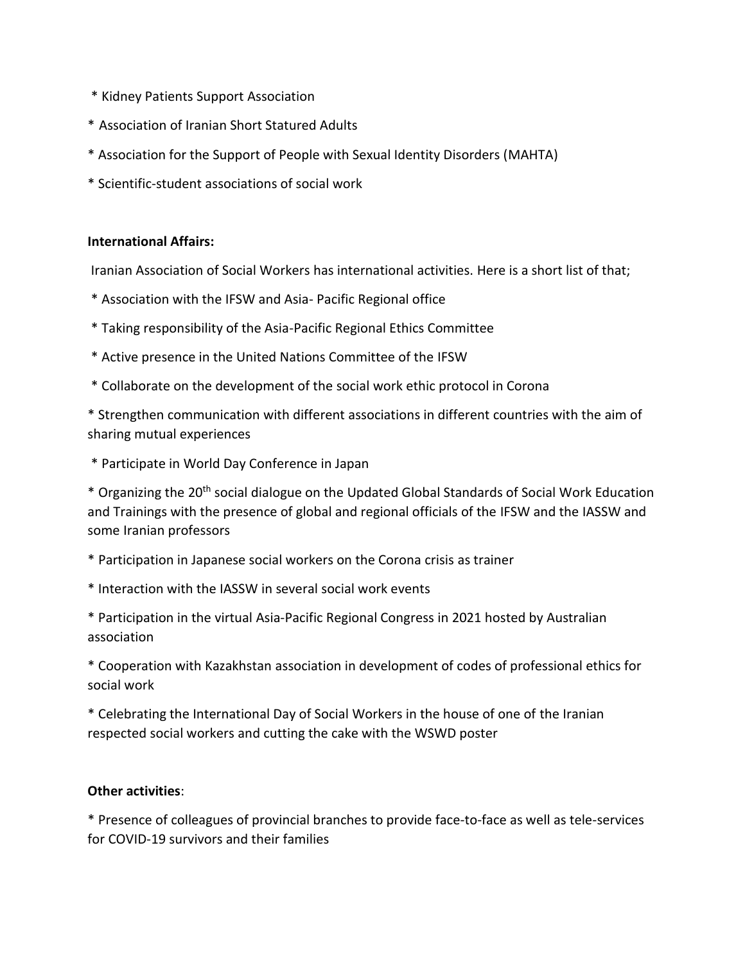- \* Kidney Patients Support Association
- \* Association of Iranian Short Statured Adults
- \* Association for the Support of People with Sexual Identity Disorders (MAHTA)
- \* Scientific-student associations of social work

#### **International Affairs:**

Iranian Association of Social Workers has international activities. Here is a short list of that;

- \* Association with the IFSW and Asia- Pacific Regional office
- \* Taking responsibility of the Asia-Pacific Regional Ethics Committee
- \* Active presence in the United Nations Committee of the IFSW
- \* Collaborate on the development of the social work ethic protocol in Corona

\* Strengthen communication with different associations in different countries with the aim of sharing mutual experiences

\* Participate in World Day Conference in Japan

\* Organizing the 20th social dialogue on the Updated Global Standards of Social Work Education and Trainings with the presence of global and regional officials of the IFSW and the IASSW and some Iranian professors

\* Participation in Japanese social workers on the Corona crisis as trainer

\* Interaction with the IASSW in several social work events

\* Participation in the virtual Asia-Pacific Regional Congress in 2021 hosted by Australian association

\* Cooperation with Kazakhstan association in development of codes of professional ethics for social work

\* Celebrating the International Day of Social Workers in the house of one of the Iranian respected social workers and cutting the cake with the WSWD poster

#### **Other activities**:

\* Presence of colleagues of provincial branches to provide face-to-face as well as tele-services for COVID-19 survivors and their families